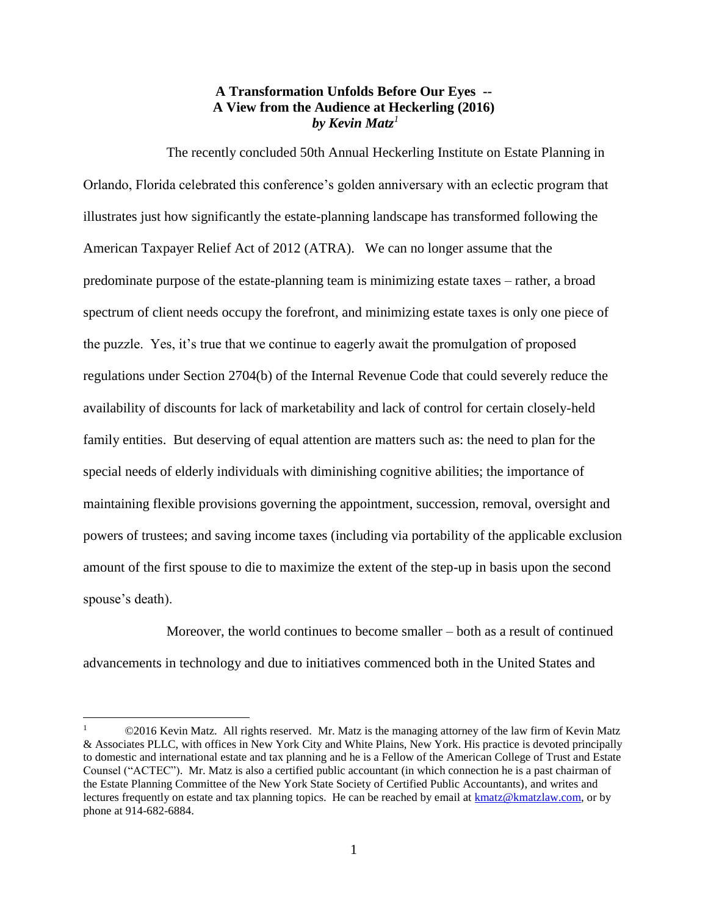## **A Transformation Unfolds Before Our Eyes -- A View from the Audience at Heckerling (2016)** *by Kevin Matz<sup>1</sup>*

The recently concluded 50th Annual Heckerling Institute on Estate Planning in Orlando, Florida celebrated this conference's golden anniversary with an eclectic program that illustrates just how significantly the estate-planning landscape has transformed following the American Taxpayer Relief Act of 2012 (ATRA). We can no longer assume that the predominate purpose of the estate-planning team is minimizing estate taxes – rather, a broad spectrum of client needs occupy the forefront, and minimizing estate taxes is only one piece of the puzzle. Yes, it's true that we continue to eagerly await the promulgation of proposed regulations under Section 2704(b) of the Internal Revenue Code that could severely reduce the availability of discounts for lack of marketability and lack of control for certain closely-held family entities. But deserving of equal attention are matters such as: the need to plan for the special needs of elderly individuals with diminishing cognitive abilities; the importance of maintaining flexible provisions governing the appointment, succession, removal, oversight and powers of trustees; and saving income taxes (including via portability of the applicable exclusion amount of the first spouse to die to maximize the extent of the step-up in basis upon the second spouse's death).

Moreover, the world continues to become smaller – both as a result of continued advancements in technology and due to initiatives commenced both in the United States and

 $\overline{a}$ 

<sup>©2016</sup> Kevin Matz. All rights reserved. Mr. Matz is the managing attorney of the law firm of Kevin Matz & Associates PLLC, with offices in New York City and White Plains, New York. His practice is devoted principally to domestic and international estate and tax planning and he is a Fellow of the American College of Trust and Estate Counsel ("ACTEC"). Mr. Matz is also a certified public accountant (in which connection he is a past chairman of the Estate Planning Committee of the New York State Society of Certified Public Accountants), and writes and lectures frequently on estate and tax planning topics. He can be reached by email at [kmatz@kmatzlaw.com,](mailto:kmatz@kmatzlaw.com) or by phone at 914-682-6884.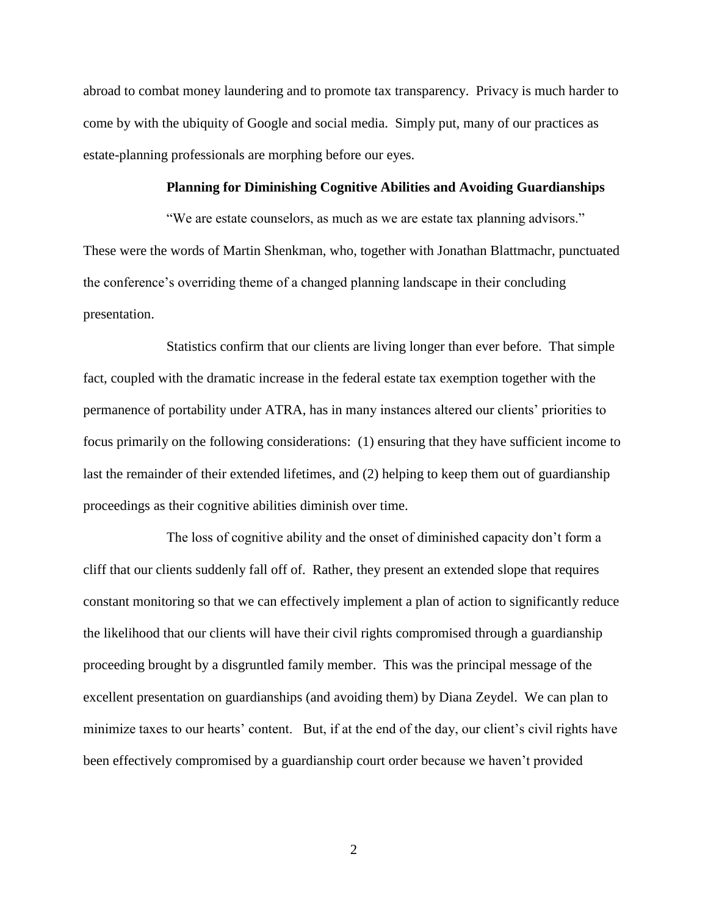abroad to combat money laundering and to promote tax transparency. Privacy is much harder to come by with the ubiquity of Google and social media. Simply put, many of our practices as estate-planning professionals are morphing before our eyes.

## **Planning for Diminishing Cognitive Abilities and Avoiding Guardianships**

"We are estate counselors, as much as we are estate tax planning advisors." These were the words of Martin Shenkman, who, together with Jonathan Blattmachr, punctuated the conference's overriding theme of a changed planning landscape in their concluding presentation.

Statistics confirm that our clients are living longer than ever before. That simple fact, coupled with the dramatic increase in the federal estate tax exemption together with the permanence of portability under ATRA, has in many instances altered our clients' priorities to focus primarily on the following considerations: (1) ensuring that they have sufficient income to last the remainder of their extended lifetimes, and (2) helping to keep them out of guardianship proceedings as their cognitive abilities diminish over time.

The loss of cognitive ability and the onset of diminished capacity don't form a cliff that our clients suddenly fall off of. Rather, they present an extended slope that requires constant monitoring so that we can effectively implement a plan of action to significantly reduce the likelihood that our clients will have their civil rights compromised through a guardianship proceeding brought by a disgruntled family member. This was the principal message of the excellent presentation on guardianships (and avoiding them) by Diana Zeydel. We can plan to minimize taxes to our hearts' content. But, if at the end of the day, our client's civil rights have been effectively compromised by a guardianship court order because we haven't provided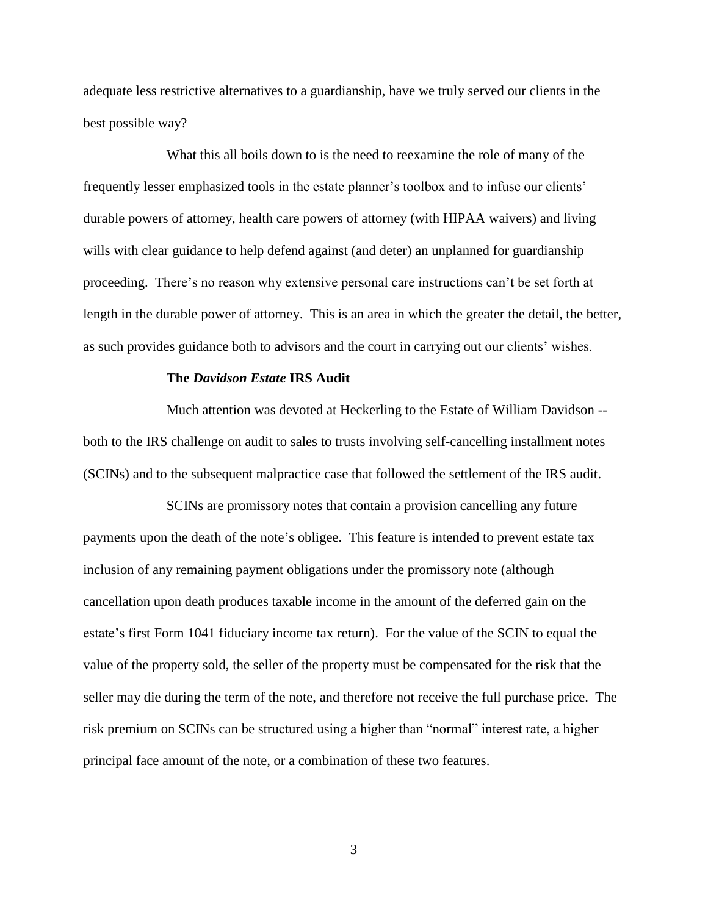adequate less restrictive alternatives to a guardianship, have we truly served our clients in the best possible way?

What this all boils down to is the need to reexamine the role of many of the frequently lesser emphasized tools in the estate planner's toolbox and to infuse our clients' durable powers of attorney, health care powers of attorney (with HIPAA waivers) and living wills with clear guidance to help defend against (and deter) an unplanned for guardianship proceeding. There's no reason why extensive personal care instructions can't be set forth at length in the durable power of attorney. This is an area in which the greater the detail, the better, as such provides guidance both to advisors and the court in carrying out our clients' wishes.

## **The** *Davidson Estate* **IRS Audit**

Much attention was devoted at Heckerling to the Estate of William Davidson - both to the IRS challenge on audit to sales to trusts involving self-cancelling installment notes (SCINs) and to the subsequent malpractice case that followed the settlement of the IRS audit.

SCINs are promissory notes that contain a provision cancelling any future payments upon the death of the note's obligee. This feature is intended to prevent estate tax inclusion of any remaining payment obligations under the promissory note (although cancellation upon death produces taxable income in the amount of the deferred gain on the estate's first Form 1041 fiduciary income tax return). For the value of the SCIN to equal the value of the property sold, the seller of the property must be compensated for the risk that the seller may die during the term of the note, and therefore not receive the full purchase price. The risk premium on SCINs can be structured using a higher than "normal" interest rate, a higher principal face amount of the note, or a combination of these two features.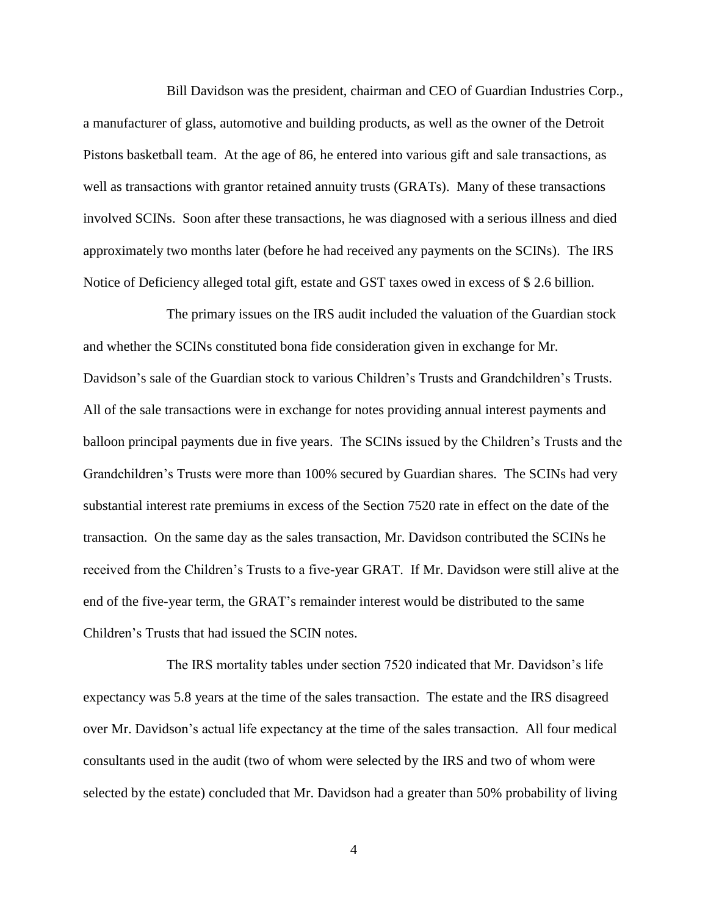Bill Davidson was the president, chairman and CEO of Guardian Industries Corp., a manufacturer of glass, automotive and building products, as well as the owner of the Detroit Pistons basketball team. At the age of 86, he entered into various gift and sale transactions, as well as transactions with grantor retained annuity trusts (GRATs). Many of these transactions involved SCINs. Soon after these transactions, he was diagnosed with a serious illness and died approximately two months later (before he had received any payments on the SCINs). The IRS Notice of Deficiency alleged total gift, estate and GST taxes owed in excess of \$ 2.6 billion.

The primary issues on the IRS audit included the valuation of the Guardian stock and whether the SCINs constituted bona fide consideration given in exchange for Mr. Davidson's sale of the Guardian stock to various Children's Trusts and Grandchildren's Trusts. All of the sale transactions were in exchange for notes providing annual interest payments and balloon principal payments due in five years. The SCINs issued by the Children's Trusts and the Grandchildren's Trusts were more than 100% secured by Guardian shares. The SCINs had very substantial interest rate premiums in excess of the Section 7520 rate in effect on the date of the transaction. On the same day as the sales transaction, Mr. Davidson contributed the SCINs he received from the Children's Trusts to a five-year GRAT. If Mr. Davidson were still alive at the end of the five-year term, the GRAT's remainder interest would be distributed to the same Children's Trusts that had issued the SCIN notes.

The IRS mortality tables under section 7520 indicated that Mr. Davidson's life expectancy was 5.8 years at the time of the sales transaction. The estate and the IRS disagreed over Mr. Davidson's actual life expectancy at the time of the sales transaction. All four medical consultants used in the audit (two of whom were selected by the IRS and two of whom were selected by the estate) concluded that Mr. Davidson had a greater than 50% probability of living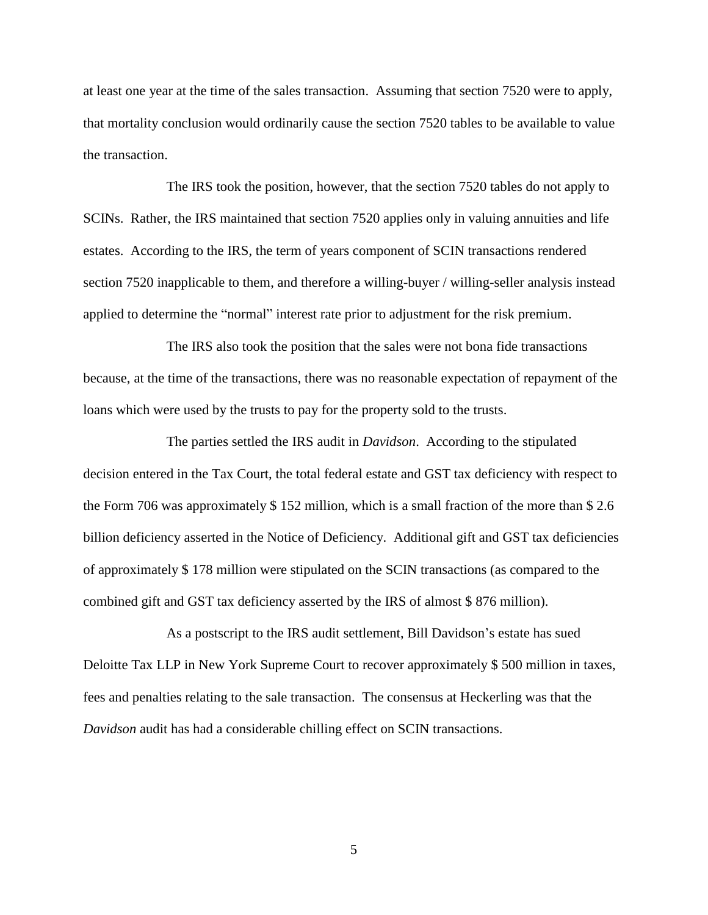at least one year at the time of the sales transaction. Assuming that section 7520 were to apply, that mortality conclusion would ordinarily cause the section 7520 tables to be available to value the transaction.

The IRS took the position, however, that the section 7520 tables do not apply to SCINs. Rather, the IRS maintained that section 7520 applies only in valuing annuities and life estates. According to the IRS, the term of years component of SCIN transactions rendered section 7520 inapplicable to them, and therefore a willing-buyer / willing-seller analysis instead applied to determine the "normal" interest rate prior to adjustment for the risk premium.

The IRS also took the position that the sales were not bona fide transactions because, at the time of the transactions, there was no reasonable expectation of repayment of the loans which were used by the trusts to pay for the property sold to the trusts.

The parties settled the IRS audit in *Davidson*. According to the stipulated decision entered in the Tax Court, the total federal estate and GST tax deficiency with respect to the Form 706 was approximately \$ 152 million, which is a small fraction of the more than \$ 2.6 billion deficiency asserted in the Notice of Deficiency. Additional gift and GST tax deficiencies of approximately \$ 178 million were stipulated on the SCIN transactions (as compared to the combined gift and GST tax deficiency asserted by the IRS of almost \$ 876 million).

As a postscript to the IRS audit settlement, Bill Davidson's estate has sued Deloitte Tax LLP in New York Supreme Court to recover approximately \$ 500 million in taxes, fees and penalties relating to the sale transaction. The consensus at Heckerling was that the *Davidson* audit has had a considerable chilling effect on SCIN transactions.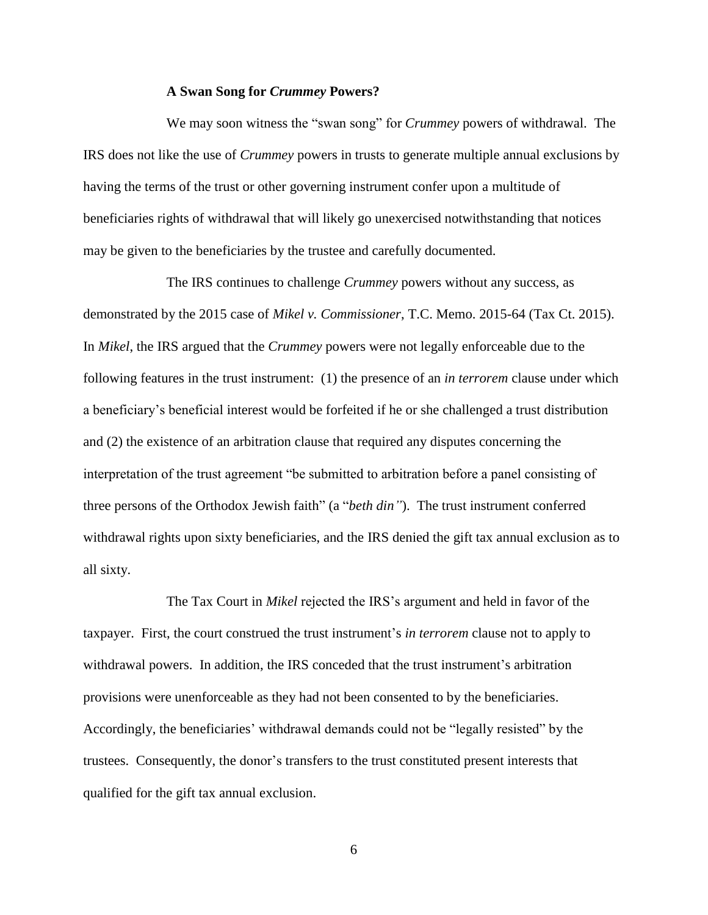## **A Swan Song for** *Crummey* **Powers?**

We may soon witness the "swan song" for *Crummey* powers of withdrawal. The IRS does not like the use of *Crummey* powers in trusts to generate multiple annual exclusions by having the terms of the trust or other governing instrument confer upon a multitude of beneficiaries rights of withdrawal that will likely go unexercised notwithstanding that notices may be given to the beneficiaries by the trustee and carefully documented.

The IRS continues to challenge *Crummey* powers without any success, as demonstrated by the 2015 case of *Mikel v. Commissioner*, T.C. Memo. 2015-64 (Tax Ct. 2015). In *Mikel*, the IRS argued that the *Crummey* powers were not legally enforceable due to the following features in the trust instrument: (1) the presence of an *in terrorem* clause under which a beneficiary's beneficial interest would be forfeited if he or she challenged a trust distribution and (2) the existence of an arbitration clause that required any disputes concerning the interpretation of the trust agreement "be submitted to arbitration before a panel consisting of three persons of the Orthodox Jewish faith" (a "*beth din"*). The trust instrument conferred withdrawal rights upon sixty beneficiaries, and the IRS denied the gift tax annual exclusion as to all sixty.

The Tax Court in *Mikel* rejected the IRS's argument and held in favor of the taxpayer. First, the court construed the trust instrument's *in terrorem* clause not to apply to withdrawal powers. In addition, the IRS conceded that the trust instrument's arbitration provisions were unenforceable as they had not been consented to by the beneficiaries. Accordingly, the beneficiaries' withdrawal demands could not be "legally resisted" by the trustees. Consequently, the donor's transfers to the trust constituted present interests that qualified for the gift tax annual exclusion.